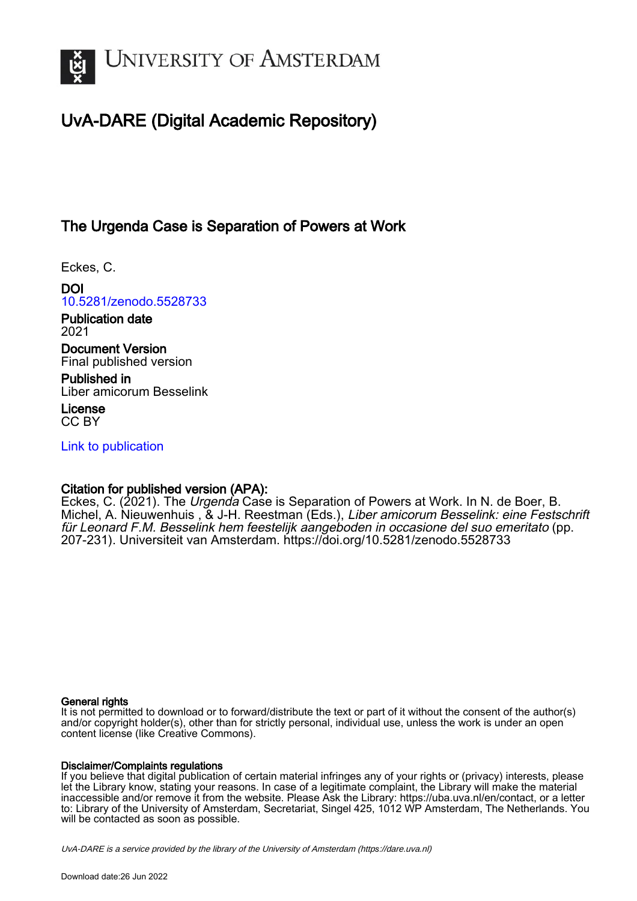

# UvA-DARE (Digital Academic Repository)

# The Urgenda Case is Separation of Powers at Work

Eckes, C.

DOI [10.5281/zenodo.5528733](https://doi.org/10.5281/zenodo.5528733)

Publication date 2021

Document Version Final published version

Published in Liber amicorum Besselink

License CC BY

[Link to publication](https://dare.uva.nl/personal/pure/en/publications/the-urgenda-case-is-separation-of-powers-at-work(e253f845-be55-4689-aad8-eb71bb043dde).html)

## Citation for published version (APA):

Eckes, C. (2021). The Urgenda Case is Separation of Powers at Work. In N. de Boer, B. Michel, A. Nieuwenhuis , & J-H. Reestman (Eds.), Liber amicorum Besselink: eine Festschrift für Leonard F.M. Besselink hem feestelijk aangeboden in occasione del suo emeritato (pp. 207-231). Universiteit van Amsterdam. <https://doi.org/10.5281/zenodo.5528733>

## General rights

It is not permitted to download or to forward/distribute the text or part of it without the consent of the author(s) and/or copyright holder(s), other than for strictly personal, individual use, unless the work is under an open content license (like Creative Commons).

## Disclaimer/Complaints regulations

If you believe that digital publication of certain material infringes any of your rights or (privacy) interests, please let the Library know, stating your reasons. In case of a legitimate complaint, the Library will make the material inaccessible and/or remove it from the website. Please Ask the Library: https://uba.uva.nl/en/contact, or a letter to: Library of the University of Amsterdam, Secretariat, Singel 425, 1012 WP Amsterdam, The Netherlands. You will be contacted as soon as possible.

UvA-DARE is a service provided by the library of the University of Amsterdam (http*s*://dare.uva.nl)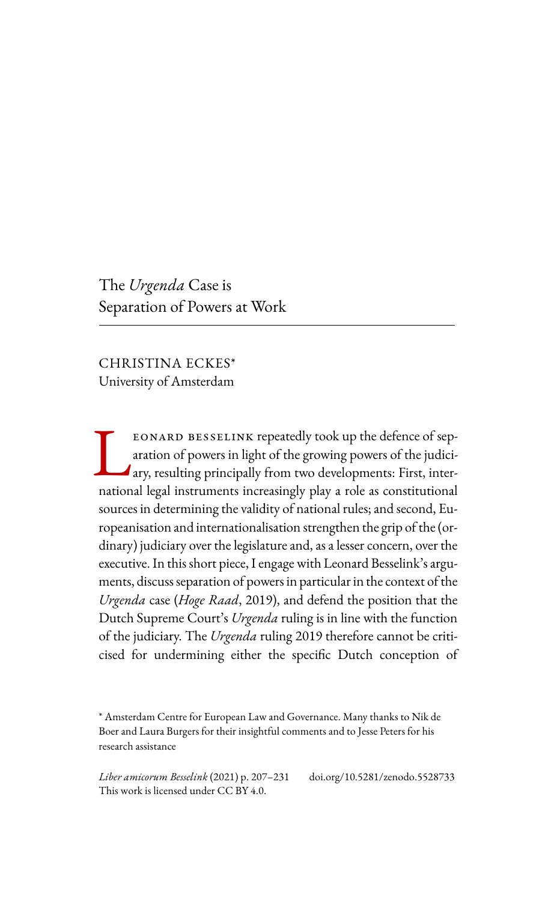The *Urgenda* Case is Separation of Powers at Work

CHRISTINA ECKES\* University of Amsterdam

eonard besselink repeatedly took up the defence of separation of powers in light of the growing powers of the judiciary, resulting principally from two developments: First, inter-EONARD BESSELINK repeatedly took up the defence of separation of powers in light of the growing powers of the judiciary, resulting principally from two developments: First, international legal instruments increasingly play sources in determining the validity of national rules; and second, Europeanisation and internationalisation strengthen the grip of the (ordinary) judiciary over the legislature and, as a lesser concern, over the executive. In this short piece, I engage with Leonard Besselink's arguments, discuss separation of powers in particular in the context of the *Urgenda* case (*Hoge Raad*, 2019), and defend the position that the Dutch Supreme Court's *Urgenda* ruling is in line with the function of the judiciary. The *Urgenda* ruling 2019 therefore cannot be criticised for undermining either the specific Dutch conception of

*Liber amicorum Besselink* (2021) p. 207–231 doi.org/10.5281/zenodo.5528733 This work is licensed under CC BY 4.0.

<sup>\*</sup> Amsterdam Centre for European Law and Governance. Many thanks to Nik de Boer and Laura Burgers for their insightful comments and to Jesse Peters for his research assistance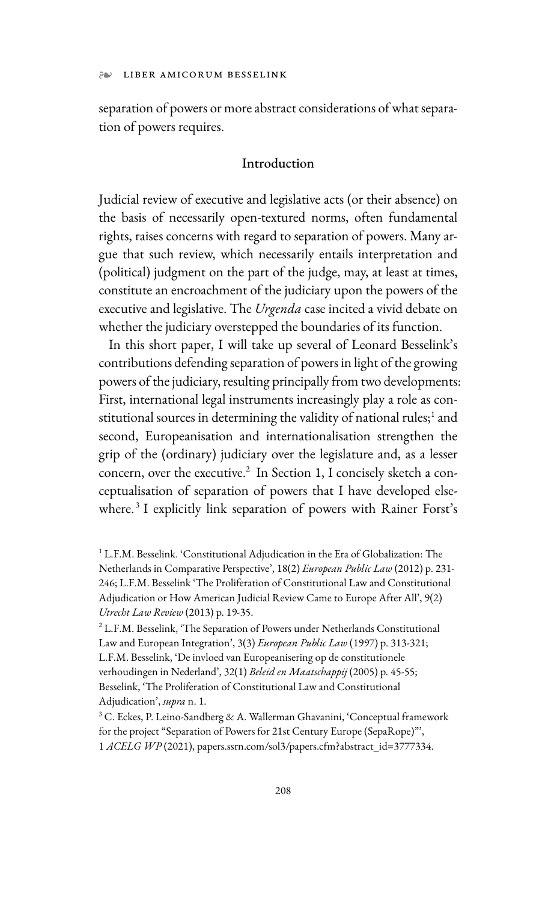separation of powers or more abstract considerations of what separation of powers requires.

## Introduction

Judicial review of executive and legislative acts (or their absence) on the basis of necessarily open-textured norms, often fundamental rights, raises concerns with regard to separation of powers. Many argue that such review, which necessarily entails interpretation and (political) judgment on the part of the judge, may, at least at times, constitute an encroachment of the judiciary upon the powers of the executive and legislative. The *Urgenda* case incited a vivid debate on whether the judiciary overstepped the boundaries of its function.

In this short paper, I will take up several of Leonard Besselink's contributions defending separation of powers in light of the growing powers of the judiciary, resulting principally from two developments: First, international legal instruments increasingly play a role as constitutional sources in determining the validity of national rules;<sup>1</sup> and second, Europeanisation and internationalisation strengthen the grip of the (ordinary) judiciary over the legislature and, as a lesser concern, over the executive.<sup>2</sup> In Section 1, I concisely sketch a conceptualisation of separation of powers that I have developed elsewhere.<sup>3</sup> I explicitly link separation of powers with Rainer Forst's

<sup>&</sup>lt;sup>1</sup> L.F.M. Besselink. 'Constitutional Adjudication in the Era of Globalization: The Netherlands in Comparative Perspective', 18(2) *European Public Law* (2012) p. 231- 246; L.F.M. Besselink 'The Proliferation of Constitutional Law and Constitutional Adjudication or How American Judicial Review Came to Europe After All', 9(2) *Utrecht Law Review* (2013) p. 19-35.

<sup>&</sup>lt;sup>2</sup> L.F.M. Besselink, 'The Separation of Powers under Netherlands Constitutional Law and European Integration', 3(3) *European Public Law* (1997) p. 313-321; L.F.M. Besselink, 'De invloed van Europeanisering op de constitutionele verhoudingen in Nederland', 32(1) *Beleid en Maatschappij* (2005) p. 45-55; Besselink, 'The Proliferation of Constitutional Law and Constitutional Adjudication', *supra* n. 1.

<sup>&</sup>lt;sup>3</sup> C. Eckes, P. Leino-Sandberg & A. Wallerman Ghavanini, 'Conceptual framework for the project "Separation of Powers for 21st Century Europe (SepaRope)"', 1 *ACELG WP* (2021), papers.ssrn.com/sol3/papers.cfm?abstract\_id=3777334.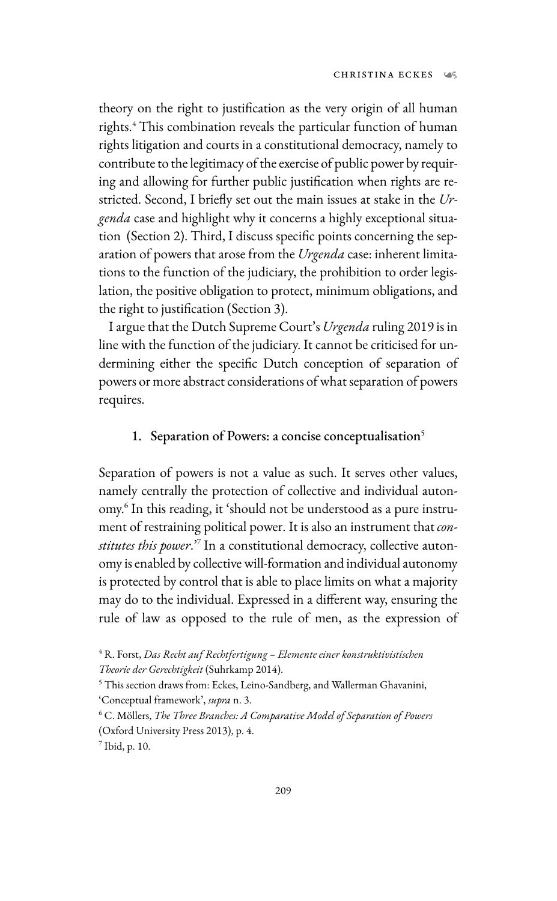theory on the right to justification as the very origin of all human rights.<sup>4</sup> This combination reveals the particular function of human rights litigation and courts in a constitutional democracy, namely to contribute to the legitimacy of the exercise of public power by requiring and allowing for further public justification when rights are restricted. Second, I briefly set out the main issues at stake in the *Urgenda* case and highlight why it concerns a highly exceptional situation (Section 2). Third, I discuss specific points concerning the separation of powers that arose from the *Urgenda* case: inherent limitations to the function of the judiciary, the prohibition to order legislation, the positive obligation to protect, minimum obligations, and the right to justification (Section 3).

I argue that the Dutch Supreme Court's *Urgenda* ruling 2019 is in line with the function of the judiciary. It cannot be criticised for undermining either the specific Dutch conception of separation of powers or more abstract considerations of what separation of powers requires.

#### 1. Separation of Powers: a concise conceptualisation<sup>5</sup>

Separation of powers is not a value as such. It serves other values, namely centrally the protection of collective and individual autonomy.6 In this reading, it 'should not be understood as a pure instrument of restraining political power. It is also an instrument that *constitutes this power*.'7 In a constitutional democracy, collective autonomy is enabled by collective will-formation and individual autonomy is protected by control that is able to place limits on what a majority may do to the individual. Expressed in a different way, ensuring the rule of law as opposed to the rule of men, as the expression of

<sup>4</sup> R. Forst, *Das Recht auf Rechtfertigung – Elemente einer konstruktivistischen Theorie der Gerechtigkeit* (Suhrkamp 2014).

<sup>&</sup>lt;sup>5</sup> This section draws from: Eckes, Leino-Sandberg, and Wallerman Ghavanini, 'Conceptual framework', *supra* n. 3.

<sup>6</sup> C. Möllers, *The Three Branches: A Comparative Model of Separation of Powers* (Oxford University Press 2013), p. 4.

 $<sup>7</sup>$  Ibid, p. 10.</sup>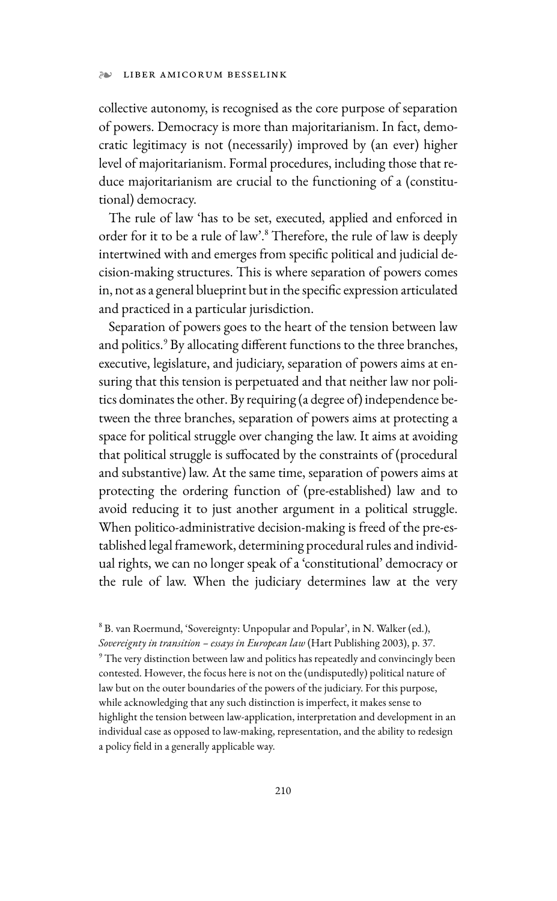collective autonomy, is recognised as the core purpose of separation of powers. Democracy is more than majoritarianism. In fact, democratic legitimacy is not (necessarily) improved by (an ever) higher level of majoritarianism. Formal procedures, including those that reduce majoritarianism are crucial to the functioning of a (constitutional) democracy.

The rule of law 'has to be set, executed, applied and enforced in order for it to be a rule of law'.8 Therefore, the rule of law is deeply intertwined with and emerges from specific political and judicial decision-making structures. This is where separation of powers comes in, not as a general blueprint but in the specific expression articulated and practiced in a particular jurisdiction.

Separation of powers goes to the heart of the tension between law and politics.<sup>9</sup> By allocating different functions to the three branches, executive, legislature, and judiciary, separation of powers aims at ensuring that this tension is perpetuated and that neither law nor politics dominates the other. By requiring (a degree of) independence between the three branches, separation of powers aims at protecting a space for political struggle over changing the law. It aims at avoiding that political struggle is suffocated by the constraints of (procedural and substantive) law. At the same time, separation of powers aims at protecting the ordering function of (pre-established) law and to avoid reducing it to just another argument in a political struggle. When politico-administrative decision-making is freed of the pre-established legal framework, determining procedural rules and individual rights, we can no longer speak of a 'constitutional' democracy or the rule of law. When the judiciary determines law at the very

8 B. van Roermund, 'Sovereignty: Unpopular and Popular', in N. Walker (ed.), *Sovereignty in transition – essays in European law* (Hart Publishing 2003), p. 37. <sup>9</sup> The very distinction between law and politics has repeatedly and convincingly been contested. However, the focus here is not on the (undisputedly) political nature of law but on the outer boundaries of the powers of the judiciary. For this purpose, while acknowledging that any such distinction is imperfect, it makes sense to highlight the tension between law-application, interpretation and development in an individual case as opposed to law-making, representation, and the ability to redesign a policy field in a generally applicable way.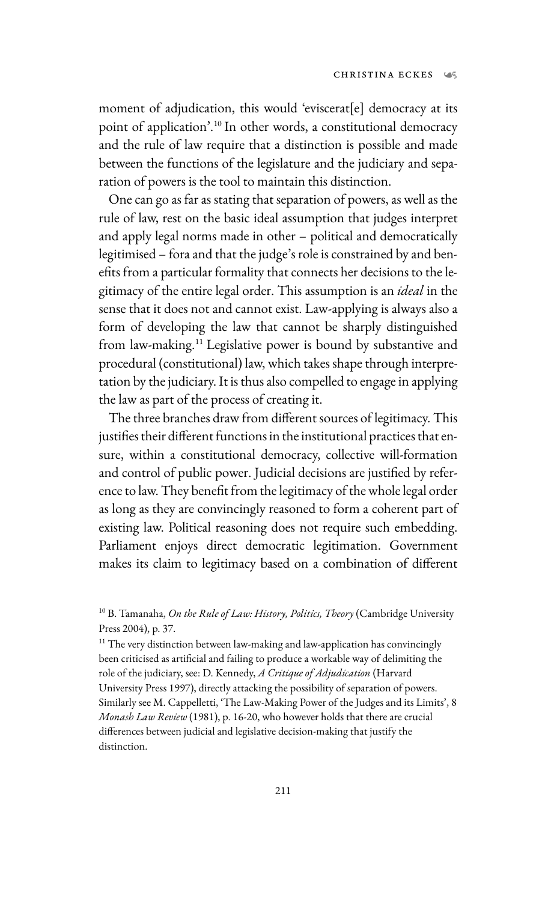moment of adjudication, this would 'eviscerat[e] democracy at its point of application'.10 In other words, a constitutional democracy and the rule of law require that a distinction is possible and made between the functions of the legislature and the judiciary and separation of powers is the tool to maintain this distinction.

One can go as far as stating that separation of powers, as well as the rule of law, rest on the basic ideal assumption that judges interpret and apply legal norms made in other – political and democratically legitimised – fora and that the judge's role is constrained by and benefits from a particular formality that connects her decisions to the legitimacy of the entire legal order. This assumption is an *ideal* in the sense that it does not and cannot exist. Law-applying is always also a form of developing the law that cannot be sharply distinguished from law-making.11 Legislative power is bound by substantive and procedural (constitutional) law, which takes shape through interpretation by the judiciary. It is thus also compelled to engage in applying the law as part of the process of creating it.

The three branches draw from different sources of legitimacy. This justifies their different functions in the institutional practices that ensure, within a constitutional democracy, collective will-formation and control of public power. Judicial decisions are justified by reference to law. They benefit from the legitimacy of the whole legal order as long as they are convincingly reasoned to form a coherent part of existing law. Political reasoning does not require such embedding. Parliament enjoys direct democratic legitimation. Government makes its claim to legitimacy based on a combination of different

<sup>11</sup> The very distinction between law-making and law-application has convincingly been criticised as artificial and failing to produce a workable way of delimiting the role of the judiciary, see: D. Kennedy, *A Critique of Adjudication* (Harvard University Press 1997), directly attacking the possibility of separation of powers. Similarly see M. Cappelletti, 'The Law-Making Power of the Judges and its Limits', 8 *Monash Law Review* (1981), p. 16-20, who however holds that there are crucial differences between judicial and legislative decision-making that justify the distinction.

<sup>10</sup> B. Tamanaha, *On the Rule of Law: History, Politics, Theory* (Cambridge University Press 2004), p. 37.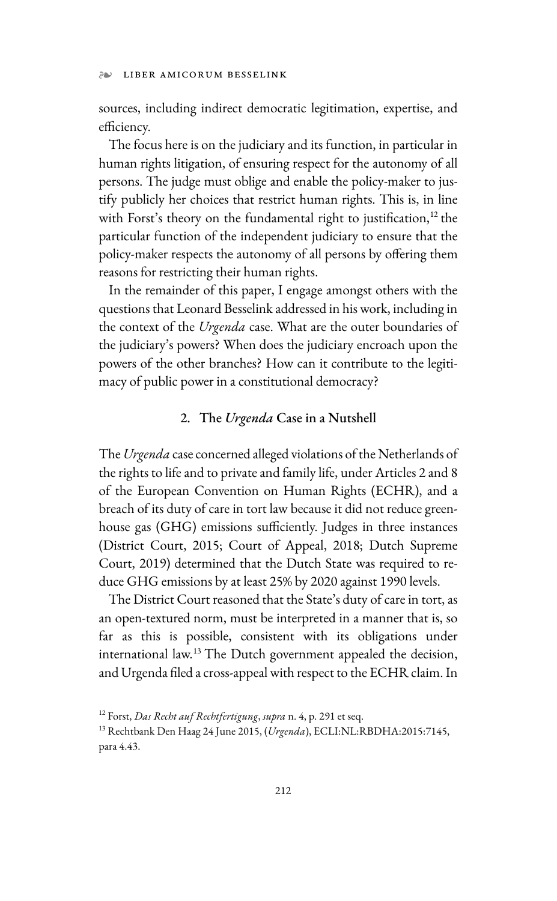#### ❧ LIBER AMICORUM BESSELINK

sources, including indirect democratic legitimation, expertise, and efficiency.

The focus here is on the judiciary and its function, in particular in human rights litigation, of ensuring respect for the autonomy of all persons. The judge must oblige and enable the policy-maker to justify publicly her choices that restrict human rights. This is, in line with Forst's theory on the fundamental right to justification, $12$  the particular function of the independent judiciary to ensure that the policy-maker respects the autonomy of all persons by offering them reasons for restricting their human rights.

In the remainder of this paper, I engage amongst others with the questions that Leonard Besselink addressed in his work, including in the context of the *Urgenda* case. What are the outer boundaries of the judiciary's powers? When does the judiciary encroach upon the powers of the other branches? How can it contribute to the legitimacy of public power in a constitutional democracy?

#### 2. The *Urgenda* Case in a Nutshell

The *Urgenda* case concerned alleged violations of the Netherlands of the rights to life and to private and family life, under Articles 2 and 8 of the European Convention on Human Rights (ECHR), and a breach of its duty of care in tort law because it did not reduce greenhouse gas (GHG) emissions sufficiently. Judges in three instances (District Court, 2015; Court of Appeal, 2018; Dutch Supreme Court, 2019) determined that the Dutch State was required to reduce GHG emissions by at least 25% by 2020 against 1990 levels.

The District Court reasoned that the State's duty of care in tort, as an open-textured norm, must be interpreted in a manner that is, so far as this is possible, consistent with its obligations under international law.13 The Dutch government appealed the decision, and Urgenda filed a cross-appeal with respect to the ECHR claim. In

<sup>12</sup> Forst, *Das Recht auf Rechtfertigung*, *supra* n. 4, p. 291 et seq.

<sup>13</sup> Rechtbank Den Haag 24 June 2015, (*Urgenda*), ECLI:NL:RBDHA:2015:7145, para 4.43.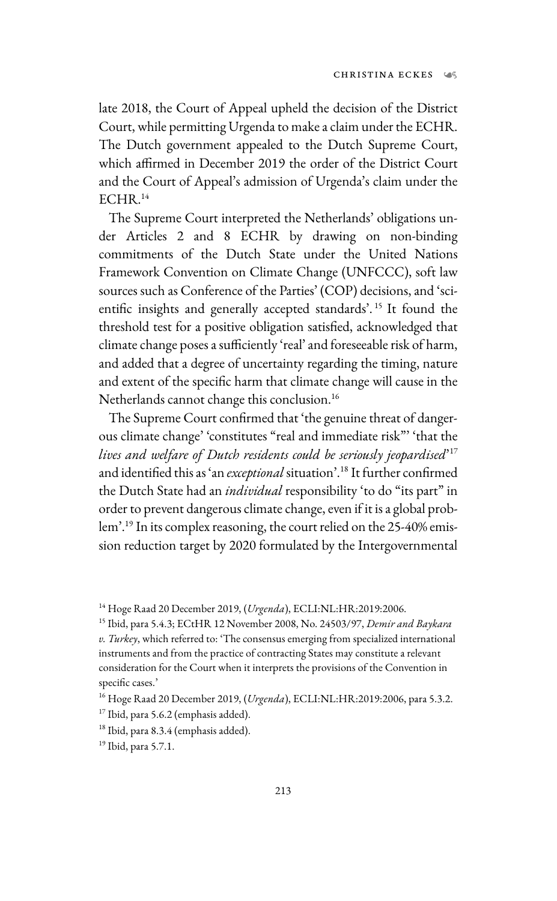late 2018, the Court of Appeal upheld the decision of the District Court, while permitting Urgenda to make a claim under the ECHR. The Dutch government appealed to the Dutch Supreme Court, which affirmed in December 2019 the order of the District Court and the Court of Appeal's admission of Urgenda's claim under the ECHR.<sup>14</sup>

The Supreme Court interpreted the Netherlands' obligations under Articles 2 and 8 ECHR by drawing on non-binding commitments of the Dutch State under the United Nations Framework Convention on Climate Change (UNFCCC), soft law sources such as Conference of the Parties' (COP) decisions, and 'scientific insights and generally accepted standards'. 15 It found the threshold test for a positive obligation satisfied, acknowledged that climate change poses a sufficiently 'real' and foreseeable risk of harm, and added that a degree of uncertainty regarding the timing, nature and extent of the specific harm that climate change will cause in the Netherlands cannot change this conclusion.<sup>16</sup>

The Supreme Court confirmed that 'the genuine threat of dangerous climate change' 'constitutes "real and immediate risk"' 'that the *lives and welfare of Dutch residents could be seriously jeopardised*' 17 and identified this as 'an *exceptional* situation'.18 It further confirmed the Dutch State had an *individual* responsibility 'to do "its part" in order to prevent dangerous climate change, even if it is a global problem'.19 In its complex reasoning, the court relied on the 25-40% emission reduction target by 2020 formulated by the Intergovernmental

<sup>18</sup> Ibid, para 8.3.4 (emphasis added).

19 Ibid, para 5.7.1.

<sup>14</sup> Hoge Raad 20 December 2019, (*Urgenda*), ECLI:NL:HR:2019:2006. 15 Ibid, para 5.4.3; ECtHR 12 November 2008, No. 24503/97, *Demir and Baykara* 

*v. Turkey*, which referred to: 'The consensus emerging from specialized international instruments and from the practice of contracting States may constitute a relevant consideration for the Court when it interprets the provisions of the Convention in specific cases.'

<sup>16</sup> Hoge Raad 20 December 2019, (*Urgenda*), ECLI:NL:HR:2019:2006, para 5.3.2.

<sup>&</sup>lt;sup>17</sup> Ibid, para 5.6.2 (emphasis added).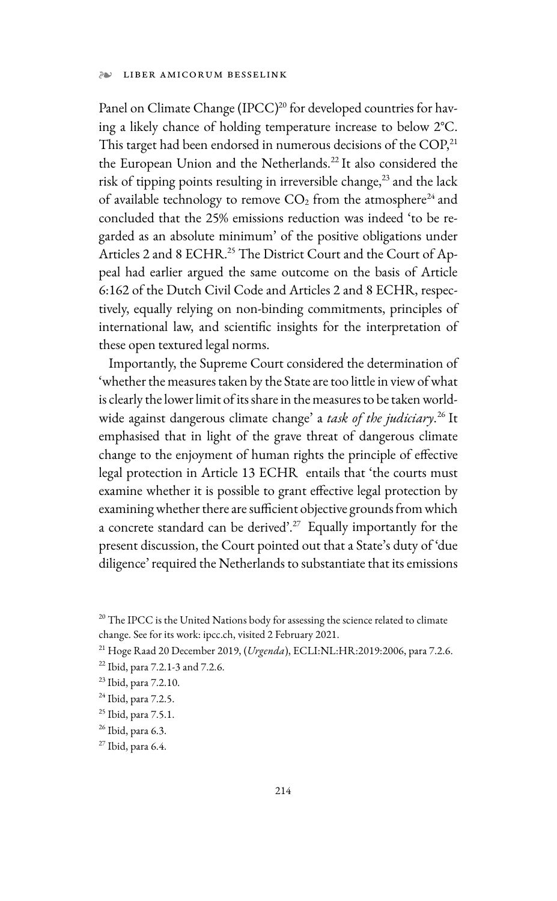#### ❧ LIBER AMICORUM BESSELINK

Panel on Climate Change (IPCC)<sup>20</sup> for developed countries for having a likely chance of holding temperature increase to below 2°C. This target had been endorsed in numerous decisions of the COP,<sup>21</sup> the European Union and the Netherlands.<sup>22</sup> It also considered the risk of tipping points resulting in irreversible change,<sup>23</sup> and the lack of available technology to remove  $CO<sub>2</sub>$  from the atmosphere<sup>24</sup> and concluded that the 25% emissions reduction was indeed 'to be regarded as an absolute minimum' of the positive obligations under Articles 2 and 8 ECHR.<sup>25</sup> The District Court and the Court of Appeal had earlier argued the same outcome on the basis of Article 6:162 of the Dutch Civil Code and Articles 2 and 8 ECHR, respectively, equally relying on non-binding commitments, principles of international law, and scientific insights for the interpretation of these open textured legal norms.

Importantly, the Supreme Court considered the determination of 'whether the measures taken by the State are too little in view of what is clearly the lower limit of its share in the measures to be taken worldwide against dangerous climate change' a *task of the judiciary*. 26 It emphasised that in light of the grave threat of dangerous climate change to the enjoyment of human rights the principle of effective legal protection in Article 13 ECHR entails that 'the courts must examine whether it is possible to grant effective legal protection by examining whether there are sufficient objective grounds from which a concrete standard can be derived'.<sup>27</sup> Equally importantly for the present discussion, the Court pointed out that a State's duty of 'due diligence' required the Netherlands to substantiate that its emissions

<sup>&</sup>lt;sup>20</sup> The IPCC is the United Nations body for assessing the science related to climate change. See for its work: ipcc.ch, visited 2 February 2021.

<sup>21</sup> Hoge Raad 20 December 2019, (*Urgenda*), ECLI:NL:HR:2019:2006, para 7.2.6.

<sup>22</sup> Ibid, para 7.2.1-3 and 7.2.6.

<sup>23</sup> Ibid, para 7.2.10.

<sup>24</sup> Ibid, para 7.2.5.

<sup>25</sup> Ibid, para 7.5.1.

<sup>26</sup> Ibid, para 6.3.

 $27$  Ibid, para 6.4.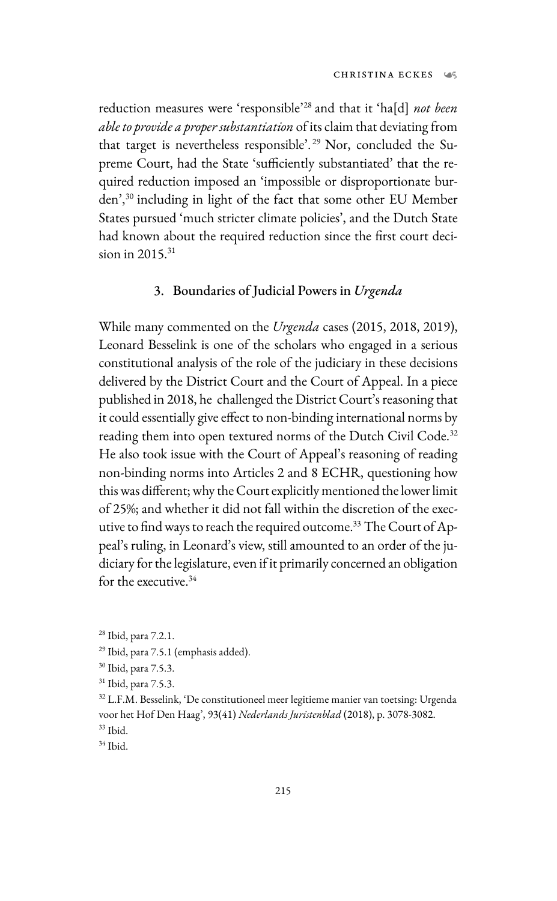reduction measures were 'responsible'28 and that it 'ha[d] *not been able to provide a proper substantiation* of its claim that deviating from that target is nevertheless responsible'. 29 Nor, concluded the Supreme Court, had the State 'sufficiently substantiated' that the required reduction imposed an 'impossible or disproportionate burden',30 including in light of the fact that some other EU Member States pursued 'much stricter climate policies', and the Dutch State had known about the required reduction since the first court decision in 2015.<sup>31</sup>

## 3. Boundaries of Judicial Powers in *Urgenda*

While many commented on the *Urgenda* cases (2015, 2018, 2019), Leonard Besselink is one of the scholars who engaged in a serious constitutional analysis of the role of the judiciary in these decisions delivered by the District Court and the Court of Appeal. In a piece published in 2018, he challenged the District Court's reasoning that it could essentially give effect to non-binding international norms by reading them into open textured norms of the Dutch Civil Code.<sup>32</sup> He also took issue with the Court of Appeal's reasoning of reading non-binding norms into Articles 2 and 8 ECHR, questioning how this was different; why the Court explicitly mentioned the lower limit of 25%; and whether it did not fall within the discretion of the executive to find ways to reach the required outcome.<sup>33</sup> The Court of Appeal's ruling, in Leonard's view, still amounted to an order of the judiciary for the legislature, even if it primarily concerned an obligation for the executive.<sup>34</sup>

<sup>28</sup> Ibid, para 7.2.1.

<sup>29</sup> Ibid, para 7.5.1 (emphasis added).

<sup>30</sup> Ibid, para 7.5.3.

<sup>31</sup> Ibid, para 7.5.3.

<sup>32</sup> L.F.M. Besselink, 'De constitutioneel meer legitieme manier van toetsing: Urgenda voor het Hof Den Haag', 93(41) *Nederlands Juristenblad* (2018), p. 3078-3082. 33 Ibid.

 $34$  Ibid.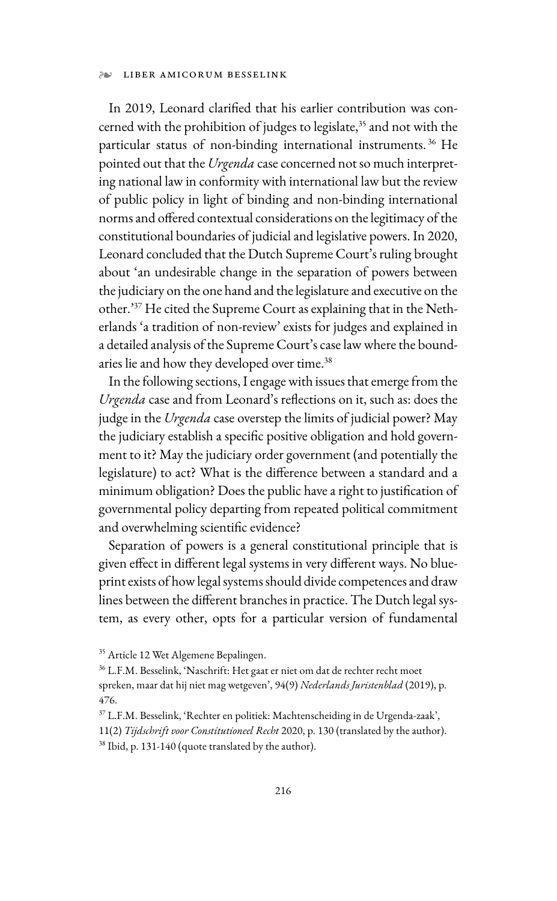#### ❧ LIBER AMICORUM BESSELINK

In 2019, Leonard clarified that his earlier contribution was concerned with the prohibition of judges to legislate,<sup>35</sup> and not with the particular status of non-binding international instruments. 36 He pointed out that the *Urgenda* case concerned not so much interpreting national law in conformity with international law but the review of public policy in light of binding and non-binding international norms and offered contextual considerations on the legitimacy of the constitutional boundaries of judicial and legislative powers. In 2020, Leonard concluded that the Dutch Supreme Court's ruling brought about 'an undesirable change in the separation of powers between the judiciary on the one hand and the legislature and executive on the other.'37 He cited the Supreme Court as explaining that in the Netherlands 'a tradition of non-review' exists for judges and explained in a detailed analysis of the Supreme Court's case law where the boundaries lie and how they developed over time.<sup>38</sup>

In the following sections, I engage with issues that emerge from the *Urgenda* case and from Leonard's reflections on it, such as: does the judge in the *Urgenda* case overstep the limits of judicial power? May the judiciary establish a specific positive obligation and hold government to it? May the judiciary order government (and potentially the legislature) to act? What is the difference between a standard and a minimum obligation? Does the public have a right to justification of governmental policy departing from repeated political commitment and overwhelming scientific evidence?

Separation of powers is a general constitutional principle that is given effect in different legal systems in very different ways. No blueprint exists of how legal systems should divide competences and draw lines between the different branches in practice. The Dutch legal system, as every other, opts for a particular version of fundamental

11(2) *Tijdschrift voor Constitutioneel Recht* 2020, p. 130 (translated by the author). 38 Ibid, p. 131-140 (quote translated by the author).

<sup>&</sup>lt;sup>35</sup> Article 12 Wet Algemene Bepalingen.

<sup>36</sup> L.F.M. Besselink, 'Naschrift: Het gaat er niet om dat de rechter recht moet spreken, maar dat hij niet mag wetgeven', 94(9) *Nederlands Juristenblad* (2019), p. 476.

<sup>37</sup> L.F.M. Besselink, 'Rechter en politiek: Machtenscheiding in de Urgenda-zaak',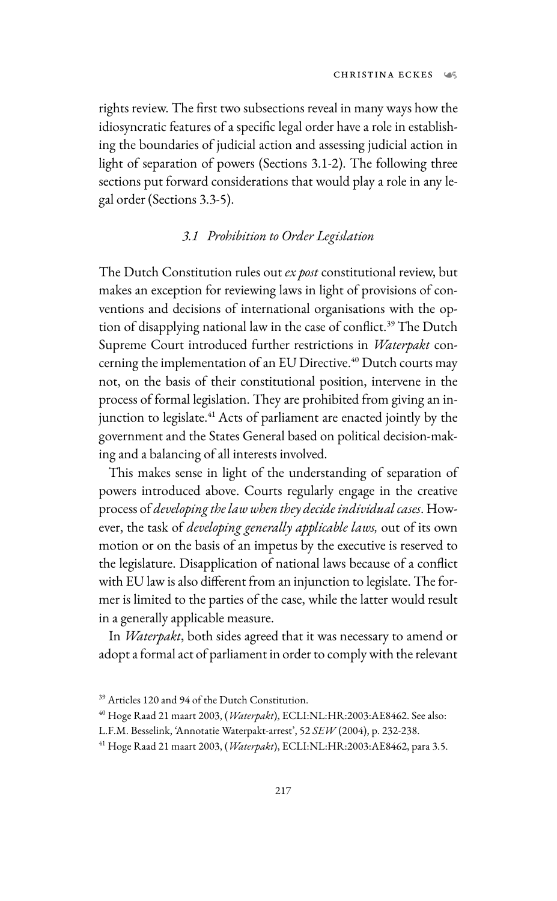rights review. The first two subsections reveal in many ways how the idiosyncratic features of a specific legal order have a role in establishing the boundaries of judicial action and assessing judicial action in light of separation of powers (Sections 3.1-2). The following three sections put forward considerations that would play a role in any legal order (Sections 3.3-5).

## *3.1 Prohibition to Order Legislation*

The Dutch Constitution rules out *ex post* constitutional review, but makes an exception for reviewing laws in light of provisions of conventions and decisions of international organisations with the option of disapplying national law in the case of conflict.<sup>39</sup> The Dutch Supreme Court introduced further restrictions in *Waterpakt* concerning the implementation of an EU Directive.<sup>40</sup> Dutch courts may not, on the basis of their constitutional position, intervene in the process of formal legislation. They are prohibited from giving an injunction to legislate.<sup>41</sup> Acts of parliament are enacted jointly by the government and the States General based on political decision-making and a balancing of all interests involved.

This makes sense in light of the understanding of separation of powers introduced above. Courts regularly engage in the creative process of *developing thelaw when they decide individual cases*. However, the task of *developing generally applicable laws,* out of its own motion or on the basis of an impetus by the executive is reserved to the legislature. Disapplication of national laws because of a conflict with EU law is also different from an injunction to legislate. The former is limited to the parties of the case, while the latter would result in a generally applicable measure.

In *Waterpakt*, both sides agreed that it was necessary to amend or adopt a formal act of parliament in order to comply with the relevant

<sup>39</sup> Articles 120 and 94 of the Dutch Constitution.

<sup>40</sup> Hoge Raad 21 maart 2003, (*Waterpakt*), ECLI:NL:HR:2003:AE8462. See also:

L.F.M. Besselink, 'Annotatie Waterpakt-arrest', 52 *SEW* (2004), p. 232-238.

<sup>41</sup> Hoge Raad 21 maart 2003, (*Waterpakt*), ECLI:NL:HR:2003:AE8462, para 3.5.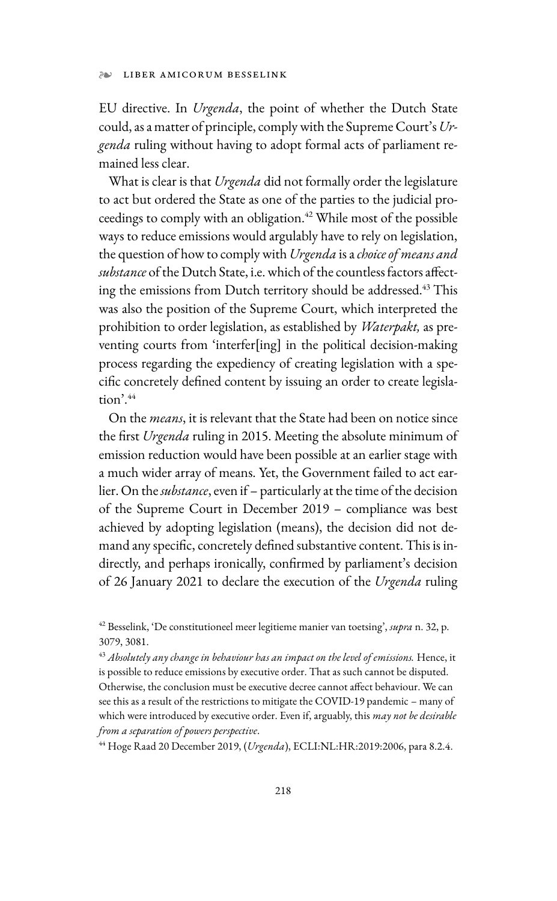EU directive. In *Urgenda*, the point of whether the Dutch State could, as a matter of principle, comply with the Supreme Court's *Urgenda* ruling without having to adopt formal acts of parliament remained less clear.

What is clear is that *Urgenda* did not formally order the legislature to act but ordered the State as one of the parties to the judicial proceedings to comply with an obligation.<sup>42</sup> While most of the possible ways to reduce emissions would argulably have to rely on legislation, the question of how to comply with *Urgenda* is a *choice of means and substance* of the Dutch State, i.e. which of the countless factors affecting the emissions from Dutch territory should be addressed.<sup>43</sup> This was also the position of the Supreme Court, which interpreted the prohibition to order legislation, as established by *Waterpakt,* as preventing courts from 'interfer[ing] in the political decision-making process regarding the expediency of creating legislation with a specific concretely defined content by issuing an order to create legisla $tion$ <sup> $44$ </sup>

On the *means*, it is relevant that the State had been on notice since the first *Urgenda* ruling in 2015. Meeting the absolute minimum of emission reduction would have been possible at an earlier stage with a much wider array of means. Yet, the Government failed to act earlier. On the *substance*, even if – particularly at the time of the decision of the Supreme Court in December 2019 – compliance was best achieved by adopting legislation (means), the decision did not demand any specific, concretely defined substantive content. This is indirectly, and perhaps ironically, confirmed by parliament's decision of 26 January 2021 to declare the execution of the *Urgenda* ruling

<sup>43</sup> *Absolutely any change in behaviour has an impact on the level of emissions.* Hence, it is possible to reduce emissions by executive order. That as such cannot be disputed. Otherwise, the conclusion must be executive decree cannot affect behaviour. We can see this as a result of the restrictions to mitigate the COVID-19 pandemic – many of which were introduced by executive order. Even if, arguably, this *may not be desirable from a separation of powers perspective*.

44 Hoge Raad 20 December 2019, (*Urgenda*), ECLI:NL:HR:2019:2006, para 8.2.4.

<sup>42</sup> Besselink, 'De constitutioneel meer legitieme manier van toetsing', *supra* n. 32, p. 3079, 3081.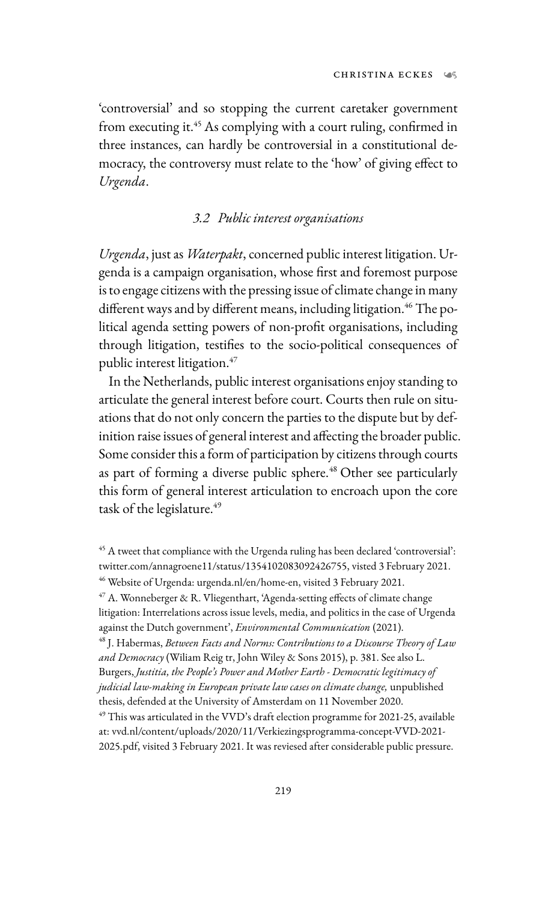'controversial' and so stopping the current caretaker government from executing it.45 As complying with a court ruling, confirmed in three instances, can hardly be controversial in a constitutional democracy, the controversy must relate to the 'how' of giving effect to *Urgenda*.

### *3.2 Public interest organisations*

*Urgenda*, just as *Waterpakt*, concerned public interest litigation. Urgenda is a campaign organisation, whose first and foremost purpose is to engage citizens with the pressing issue of climate change in many different ways and by different means, including litigation.<sup>46</sup> The political agenda setting powers of non-profit organisations, including through litigation, testifies to the socio-political consequences of public interest litigation.<sup>47</sup>

In the Netherlands, public interest organisations enjoy standing to articulate the general interest before court. Courts then rule on situations that do not only concern the parties to the dispute but by definition raise issues of general interest and affecting the broader public. Some consider this a form of participation by citizens through courts as part of forming a diverse public sphere.<sup>48</sup> Other see particularly this form of general interest articulation to encroach upon the core task of the legislature.<sup>49</sup>

against the Dutch government', *Environmental Communication* (2021).<br><sup>48</sup> J. Habermas, *Between Facts and Norms: Contributions to a Discourse Theory of Law and Democracy* (Wiliam Reig tr, John Wiley & Sons 2015), p. 381. See also L. Burgers, *Justitia, the People's Power and Mother Earth - Democratic legitimacy of judicial law-making in European private law cases on climate change,* unpublished thesis, defended at the University of Amsterdam on 11 November 2020.

<sup>&</sup>lt;sup>45</sup> A tweet that compliance with the Urgenda ruling has been declared 'controversial': twitter.com/annagroene11/status/1354102083092426755, visted 3 February 2021. 46 Website of Urgenda: urgenda.nl/en/home-en, visited 3 February 2021.

 $47$  A. Wonneberger & R. Vliegenthart, 'Agenda-setting effects of climate change litigation: Interrelations across issue levels, media, and politics in the case of Urgenda

<sup>49</sup> This was articulated in the VVD's draft election programme for 2021-25, available at: vvd.nl/content/uploads/2020/11/Verkiezingsprogramma-concept-VVD-2021- 2025.pdf, visited 3 February 2021. It was reviesed after considerable public pressure.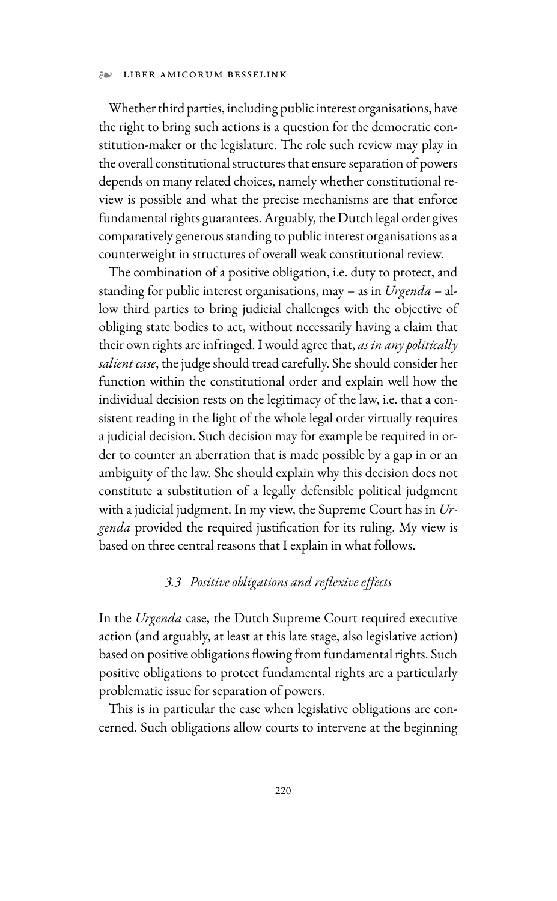#### LIBER AMICORUM BESSELINK

Whether third parties, including public interest organisations, have the right to bring such actions is a question for the democratic constitution-maker or the legislature. The role such review may play in the overall constitutional structures that ensure separation of powers depends on many related choices, namely whether constitutional review is possible and what the precise mechanisms are that enforce fundamental rights guarantees. Arguably, the Dutch legal order gives comparatively generous standing to public interest organisations as a counterweight in structures of overall weak constitutional review.

The combination of a positive obligation, i.e. duty to protect, and standing for public interest organisations, may – as in *Urgenda* – allow third parties to bring judicial challenges with the objective of obliging state bodies to act, without necessarily having a claim that their own rights are infringed. I would agree that, *as in any politically salient case*, the judge should tread carefully. She should consider her function within the constitutional order and explain well how the individual decision rests on the legitimacy of the law, i.e. that a consistent reading in the light of the whole legal order virtually requires a judicial decision. Such decision may for example be required in order to counter an aberration that is made possible by a gap in or an ambiguity of the law. She should explain why this decision does not constitute a substitution of a legally defensible political judgment with a judicial judgment. In my view, the Supreme Court has in *Urgenda* provided the required justification for its ruling. My view is based on three central reasons that I explain in what follows.

## *3.3 Positive obligations and reflexive effects*

In the *Urgenda* case, the Dutch Supreme Court required executive action (and arguably, at least at this late stage, also legislative action) based on positive obligations flowing from fundamental rights. Such positive obligations to protect fundamental rights are a particularly problematic issue for separation of powers.

This is in particular the case when legislative obligations are concerned. Such obligations allow courts to intervene at the beginning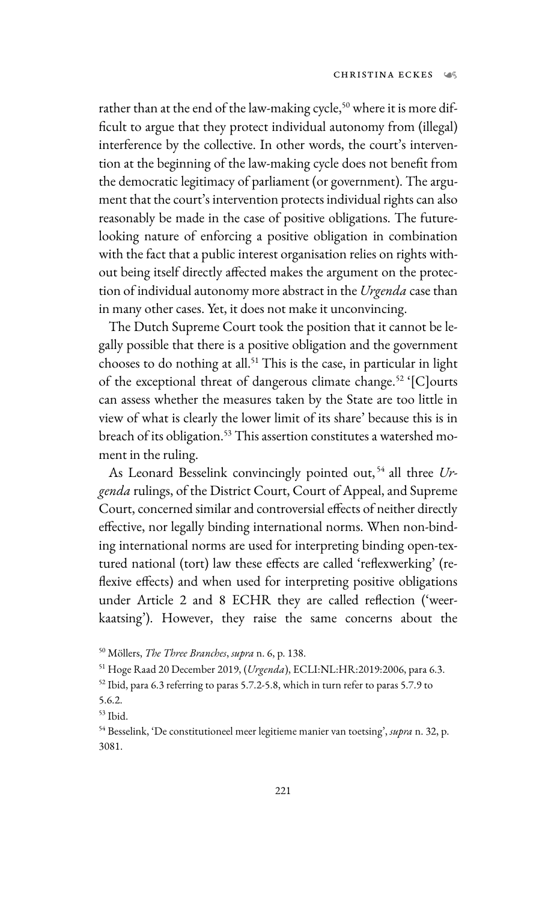rather than at the end of the law-making cycle,<sup>50</sup> where it is more difficult to argue that they protect individual autonomy from (illegal) interference by the collective. In other words, the court's intervention at the beginning of the law-making cycle does not benefit from the democratic legitimacy of parliament (or government). The argument that the court's intervention protects individual rights can also reasonably be made in the case of positive obligations. The futurelooking nature of enforcing a positive obligation in combination with the fact that a public interest organisation relies on rights without being itself directly affected makes the argument on the protection of individual autonomy more abstract in the *Urgenda* case than in many other cases. Yet, it does not make it unconvincing.

The Dutch Supreme Court took the position that it cannot be legally possible that there is a positive obligation and the government chooses to do nothing at all.<sup>51</sup> This is the case, in particular in light of the exceptional threat of dangerous climate change.<sup>52</sup> '[C]ourts can assess whether the measures taken by the State are too little in view of what is clearly the lower limit of its share' because this is in breach of its obligation.<sup>53</sup> This assertion constitutes a watershed moment in the ruling.

As Leonard Besselink convincingly pointed out, 54 all three *Urgenda* rulings, of the District Court, Court of Appeal, and Supreme Court, concerned similar and controversial effects of neither directly effective, nor legally binding international norms. When non-binding international norms are used for interpreting binding open-textured national (tort) law these effects are called 'reflexwerking' (reflexive effects) and when used for interpreting positive obligations under Article 2 and 8 ECHR they are called reflection ('weerkaatsing'). However, they raise the same concerns about the

<sup>50</sup> Möllers, *The Three Branches*, *supra* n. 6, p. 138.

<sup>51</sup> Hoge Raad 20 December 2019, (*Urgenda*), ECLI:NL:HR:2019:2006, para 6.3.

<sup>52</sup> Ibid, para 6.3 referring to paras 5.7.2-5.8, which in turn refer to paras 5.7.9 to

<sup>5.6.2.</sup> 

<sup>53</sup> Ibid.

<sup>54</sup> Besselink, 'De constitutioneel meer legitieme manier van toetsing', *supra* n. 32, p. 3081.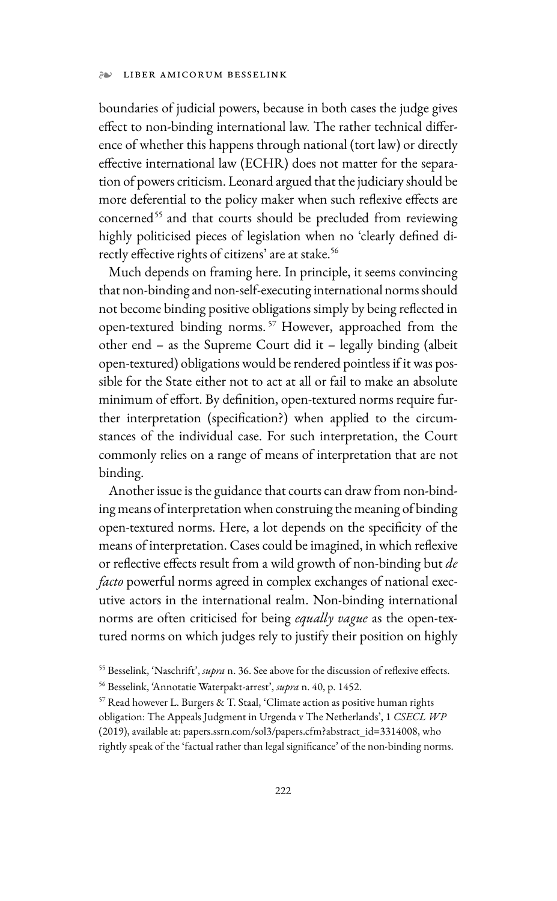#### LIBER AMICORUM BESSELINK

boundaries of judicial powers, because in both cases the judge gives effect to non-binding international law. The rather technical difference of whether this happens through national (tort law) or directly effective international law (ECHR) does not matter for the separation of powers criticism. Leonard argued that the judiciary should be more deferential to the policy maker when such reflexive effects are concerned<sup>55</sup> and that courts should be precluded from reviewing highly politicised pieces of legislation when no 'clearly defined directly effective rights of citizens' are at stake.<sup>56</sup>

Much depends on framing here. In principle, it seems convincing that non-binding and non-self-executing international norms should not become binding positive obligations simply by being reflected in open-textured binding norms. 57 However, approached from the other end – as the Supreme Court did it – legally binding (albeit open-textured) obligations would be rendered pointless if it was possible for the State either not to act at all or fail to make an absolute minimum of effort. By definition, open-textured norms require further interpretation (specification?) when applied to the circumstances of the individual case. For such interpretation, the Court commonly relies on a range of means of interpretation that are not binding.

Another issue is the guidance that courts can draw from non-binding means of interpretation when construing the meaning of binding open-textured norms. Here, a lot depends on the specificity of the means of interpretation. Cases could be imagined, in which reflexive or reflective effects result from a wild growth of non-binding but *de facto* powerful norms agreed in complex exchanges of national executive actors in the international realm. Non-binding international norms are often criticised for being *equally vague* as the open-textured norms on which judges rely to justify their position on highly

<sup>55</sup> Besselink, 'Naschrift', *supra* n. 36. See above for the discussion of reflexive effects.

<sup>56</sup> Besselink, 'Annotatie Waterpakt-arrest', *supra* n. 40, p. 1452.

<sup>57</sup> Read however L. Burgers & T. Staal, 'Climate action as positive human rights obligation: The Appeals Judgment in Urgenda v The Netherlands', 1 *CSECL WP* (2019), available at: papers.ssrn.com/sol3/papers.cfm?abstract\_id=3314008, who rightly speak of the 'factual rather than legal significance' of the non-binding norms.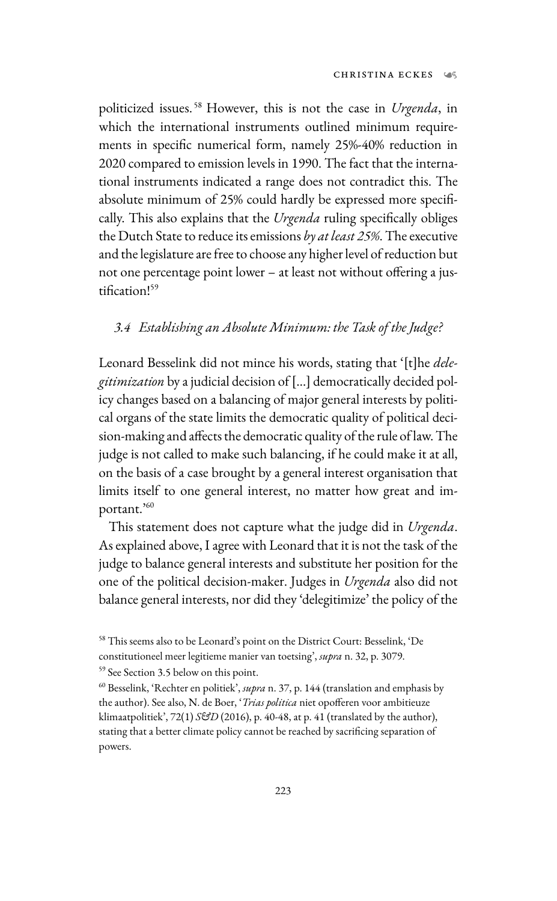politicized issues. 58 However, this is not the case in *Urgenda*, in which the international instruments outlined minimum requirements in specific numerical form, namely 25%-40% reduction in 2020 compared to emission levels in 1990. The fact that the international instruments indicated a range does not contradict this. The absolute minimum of 25% could hardly be expressed more specifically. This also explains that the *Urgenda* ruling specifically obliges the Dutch State to reduce its emissions *by at least 25%*. The executive and the legislature are free to choose any higher level of reduction but not one percentage point lower – at least not without offering a justification!59

### *3.4 Establishing an Absolute Minimum: the Task of the Judge?*

Leonard Besselink did not mince his words, stating that '[t]he *delegitimization* by a judicial decision of […] democratically decided policy changes based on a balancing of major general interests by political organs of the state limits the democratic quality of political decision-making and affects the democratic quality of the rule of law. The judge is not called to make such balancing, if he could make it at all, on the basis of a case brought by a general interest organisation that limits itself to one general interest, no matter how great and important.'<sup>60</sup>

This statement does not capture what the judge did in *Urgenda*. As explained above, I agree with Leonard that it is not the task of the judge to balance general interests and substitute her position for the one of the political decision-maker. Judges in *Urgenda* also did not balance general interests, nor did they 'delegitimize' the policy of the

<sup>58</sup> This seems also to be Leonard's point on the District Court: Besselink, 'De constitutioneel meer legitieme manier van toetsing', *supra* n. 32, p. 3079. 59 See Section 3.5 below on this point.

<sup>60</sup> Besselink, 'Rechter en politiek', *supra* n. 37, p. 144 (translation and emphasis by the author). See also, N. de Boer, '*Trias politica* niet opofferen voor ambitieuze klimaatpolitiek', 72(1) *S&D* (2016), p. 40-48, at p. 41 (translated by the author), stating that a better climate policy cannot be reached by sacrificing separation of powers.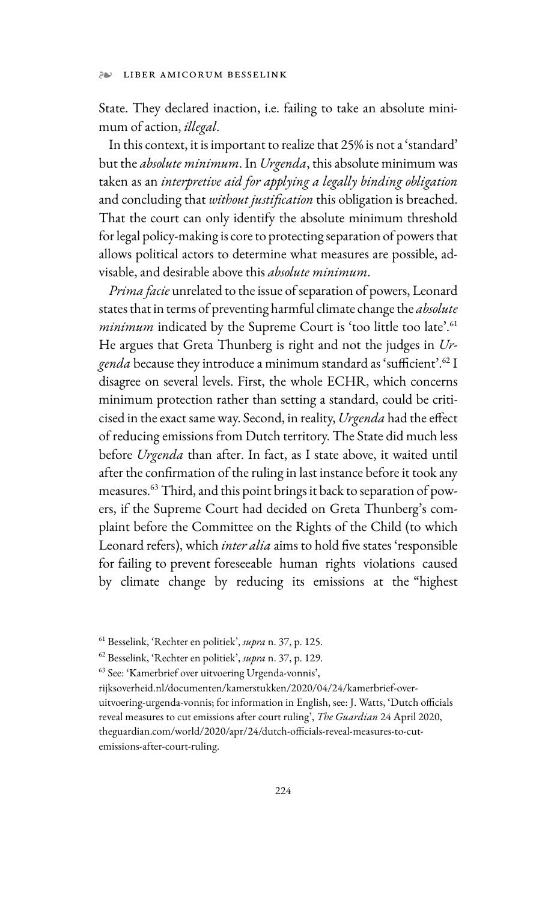#### ❧ LIBER AMICORUM BESSELINK

State. They declared inaction, i.e. failing to take an absolute minimum of action, *illegal*.

In this context, it is important to realize that 25% is not a 'standard' but the *absolute minimum*. In *Urgenda*, this absolute minimum was taken as an *interpretive aid for applying a legally binding obligation* and concluding that *without justification* this obligation is breached. That the court can only identify the absolute minimum threshold for legal policy-making is core to protecting separation of powers that allows political actors to determine what measures are possible, advisable, and desirable above this *absolute minimum*.

*Prima facie* unrelated to the issue of separation of powers, Leonard states that in terms of preventing harmful climate change the *absolute minimum* indicated by the Supreme Court is 'too little too late'.<sup>61</sup> He argues that Greta Thunberg is right and not the judges in *Urgenda* because they introduce a minimum standard as 'sufficient'.62 I disagree on several levels. First, the whole ECHR, which concerns minimum protection rather than setting a standard, could be criticised in the exact same way. Second, in reality, *Urgenda* had the effect of reducing emissions from Dutch territory. The State did much less before *Urgenda* than after. In fact, as I state above, it waited until after the confirmation of the ruling in last instance before it took any measures.63 Third, and this point brings it back to separation of powers, if the Supreme Court had decided on Greta Thunberg's complaint before the Committee on the Rights of the Child (to which Leonard refers), which *inter alia* aims to hold five states 'responsible for failing to prevent foreseeable human rights violations caused by climate change by reducing its emissions at the "highest

<sup>61</sup> Besselink, 'Rechter en politiek', *supra* n. 37, p. 125.

<sup>62</sup> Besselink, 'Rechter en politiek', *supra* n. 37, p. 129.

<sup>63</sup> See: 'Kamerbrief over uitvoering Urgenda-vonnis',

rijksoverheid.nl/documenten/kamerstukken/2020/04/24/kamerbrief-over-

uitvoering-urgenda-vonnis; for information in English, see: J. Watts, 'Dutch officials reveal measures to cut emissions after court ruling', *The Guardian* 24 April 2020, theguardian.com/world/2020/apr/24/dutch-officials-reveal-measures-to-cutemissions-after-court-ruling.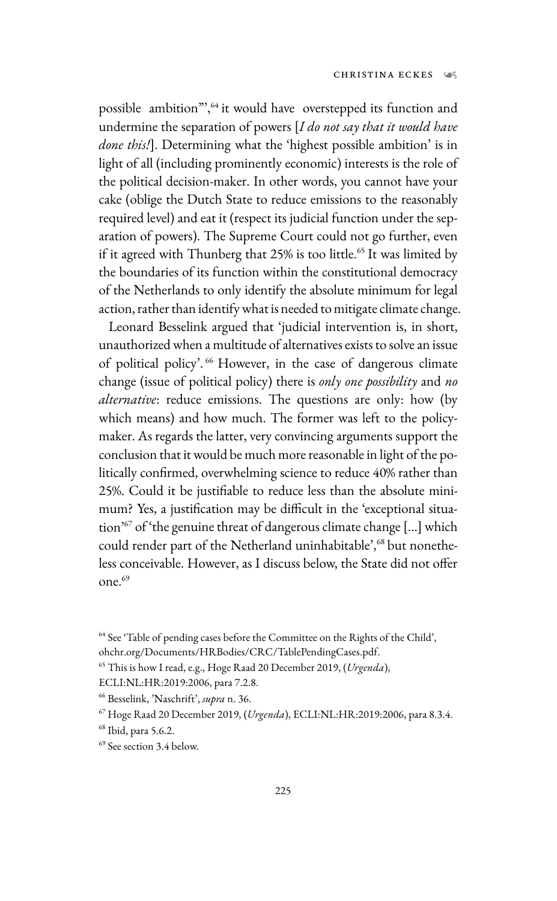possible ambition",<sup>64</sup> it would have overstepped its function and undermine the separation of powers [*I do not say that it would have done this!*]. Determining what the 'highest possible ambition' is in light of all (including prominently economic) interests is the role of the political decision-maker. In other words, you cannot have your cake (oblige the Dutch State to reduce emissions to the reasonably required level) and eat it (respect its judicial function under the separation of powers). The Supreme Court could not go further, even if it agreed with Thunberg that 25% is too little.<sup>65</sup> It was limited by the boundaries of its function within the constitutional democracy of the Netherlands to only identify the absolute minimum for legal action, rather than identify what is needed to mitigate climate change.

Leonard Besselink argued that 'judicial intervention is, in short, unauthorized when a multitude of alternatives exists to solve an issue of political policy'.<sup>66</sup> However, in the case of dangerous climate change (issue of political policy) there is *only one possibility* and *no alternative*: reduce emissions. The questions are only: how (by which means) and how much. The former was left to the policymaker. As regards the latter, very convincing arguments support the conclusion that it would be much more reasonable in light of the politically confirmed, overwhelming science to reduce 40% rather than 25%. Could it be justifiable to reduce less than the absolute minimum? Yes, a justification may be difficult in the 'exceptional situation'67 of 'the genuine threat of dangerous climate change […] which could render part of the Netherland uninhabitable',<sup>68</sup> but nonetheless conceivable. However, as I discuss below, the State did not offer one.<sup>69</sup>

<sup>64</sup> See 'Table of pending cases before the Committee on the Rights of the Child',

ohchr.org/Documents/HRBodies/CRC/TablePendingCases.pdf.

<sup>65</sup> This is how I read, e.g., Hoge Raad 20 December 2019, (*Urgenda*),

ECLI:NL:HR:2019:2006, para 7.2.8.

<sup>66</sup> Besselink, 'Naschrift', *supra* n. 36.

<sup>67</sup> Hoge Raad 20 December 2019, (*Urgenda*), ECLI:NL:HR:2019:2006, para 8.3.4.

<sup>68</sup> Ibid, para 5.6.2.

<sup>69</sup> See section 3.4 below.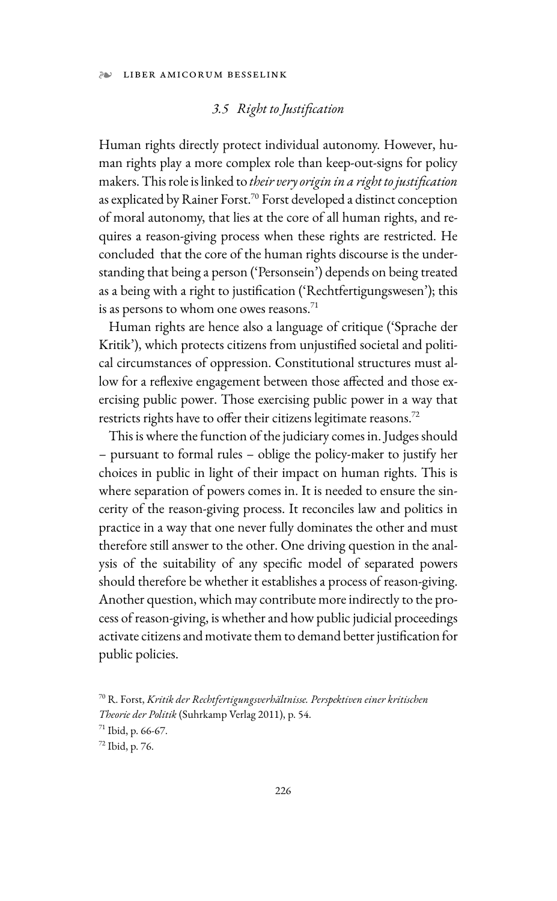## *3.5 Right to Justification*

Human rights directly protect individual autonomy. However, human rights play a more complex role than keep-out-signs for policy makers. This role is linked to *their very origin in a right to justification* as explicated by Rainer Forst.<sup>70</sup> Forst developed a distinct conception of moral autonomy, that lies at the core of all human rights, and requires a reason-giving process when these rights are restricted. He concluded that the core of the human rights discourse is the understanding that being a person ('Personsein') depends on being treated as a being with a right to justification ('Rechtfertigungswesen'); this is as persons to whom one owes reasons. $71$ 

Human rights are hence also a language of critique ('Sprache der Kritik'), which protects citizens from unjustified societal and political circumstances of oppression. Constitutional structures must allow for a reflexive engagement between those affected and those exercising public power. Those exercising public power in a way that restricts rights have to offer their citizens legitimate reasons.<sup>72</sup>

This is where the function of the judiciary comes in. Judges should – pursuant to formal rules – oblige the policy-maker to justify her choices in public in light of their impact on human rights. This is where separation of powers comes in. It is needed to ensure the sincerity of the reason-giving process. It reconciles law and politics in practice in a way that one never fully dominates the other and must therefore still answer to the other. One driving question in the analysis of the suitability of any specific model of separated powers should therefore be whether it establishes a process of reason-giving. Another question, which may contribute more indirectly to the process of reason-giving, is whether and how public judicial proceedings activate citizens and motivate them to demand better justification for public policies.

<sup>70</sup> R. Forst, *Kritik der Rechtfertigungsverhältnisse. Perspektiven einer kritischen Theorie der Politik* (Suhrkamp Verlag 2011), p. 54.

<sup>71</sup> Ibid, p. 66-67.

<sup>72</sup> Ibid, p. 76.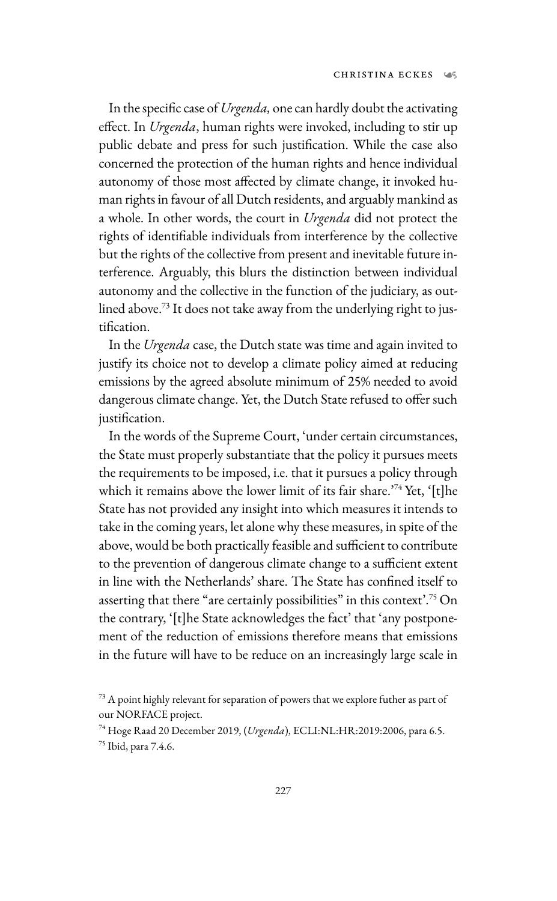In the specific case of *Urgenda,* one can hardly doubt the activating effect. In *Urgenda*, human rights were invoked, including to stir up public debate and press for such justification. While the case also concerned the protection of the human rights and hence individual autonomy of those most affected by climate change, it invoked human rights in favour of all Dutch residents, and arguably mankind as a whole. In other words, the court in *Urgenda* did not protect the rights of identifiable individuals from interference by the collective but the rights of the collective from present and inevitable future interference. Arguably, this blurs the distinction between individual autonomy and the collective in the function of the judiciary, as outlined above.73 It does not take away from the underlying right to justification.

In the *Urgenda* case, the Dutch state was time and again invited to justify its choice not to develop a climate policy aimed at reducing emissions by the agreed absolute minimum of 25% needed to avoid dangerous climate change. Yet, the Dutch State refused to offer such justification.

In the words of the Supreme Court, 'under certain circumstances, the State must properly substantiate that the policy it pursues meets the requirements to be imposed, i.e. that it pursues a policy through which it remains above the lower limit of its fair share.<sup>'74</sup> Yet, '[t]he State has not provided any insight into which measures it intends to take in the coming years, let alone why these measures, in spite of the above, would be both practically feasible and sufficient to contribute to the prevention of dangerous climate change to a sufficient extent in line with the Netherlands' share. The State has confined itself to asserting that there "are certainly possibilities" in this context'.<sup>75</sup> On the contrary, '[t]he State acknowledges the fact' that 'any postponement of the reduction of emissions therefore means that emissions in the future will have to be reduce on an increasingly large scale in

<sup>&</sup>lt;sup>73</sup> A point highly relevant for separation of powers that we explore futher as part of our NORFACE project.

<sup>74</sup> Hoge Raad 20 December 2019, (*Urgenda*), ECLI:NL:HR:2019:2006, para 6.5. 75 Ibid, para 7.4.6.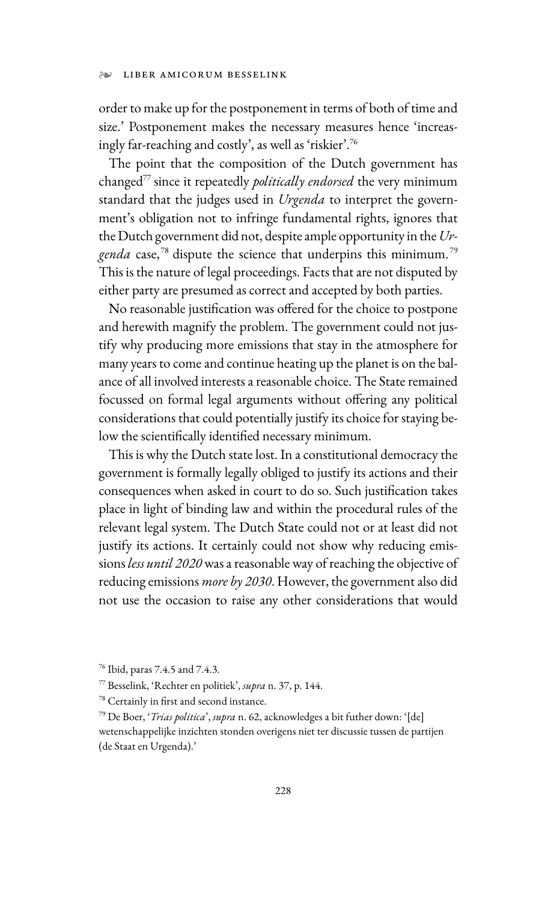#### ❧ LIBER AMICORUM BESSELINK

order to make up for the postponement in terms of both of time and size.' Postponement makes the necessary measures hence 'increasingly far-reaching and costly', as well as 'riskier'.76

The point that the composition of the Dutch government has changed77 since it repeatedly *politically endorsed* the very minimum standard that the judges used in *Urgenda* to interpret the government's obligation not to infringe fundamental rights, ignores that the Dutch government did not, despite ample opportunity in the *Ur*genda case,<sup>78</sup> dispute the science that underpins this minimum.<sup>79</sup> This is the nature of legal proceedings. Facts that are not disputed by either party are presumed as correct and accepted by both parties.

No reasonable justification was offered for the choice to postpone and herewith magnify the problem. The government could not justify why producing more emissions that stay in the atmosphere for many years to come and continue heating up the planet is on the balance of all involved interests a reasonable choice. The State remained focussed on formal legal arguments without offering any political considerations that could potentially justify its choice for staying below the scientifically identified necessary minimum.

This is why the Dutch state lost. In a constitutional democracy the government is formally legally obliged to justify its actions and their consequences when asked in court to do so. Such justification takes place in light of binding law and within the procedural rules of the relevant legal system. The Dutch State could not or at least did not justify its actions. It certainly could not show why reducing emissions *less until 2020* was a reasonable way of reaching the objective of reducing emissions *more by 2030*. However, the government also did not use the occasion to raise any other considerations that would

<sup>76</sup> Ibid, paras 7.4.5 and 7.4.3.

<sup>77</sup> Besselink, 'Rechter en politiek', *supra* n. 37, p. 144.

<sup>78</sup> Certainly in first and second instance.

<sup>79</sup> De Boer, '*Trias politica*', *supra* n. 62, acknowledges a bit futher down: '[de] wetenschappelijke inzichten stonden overigens niet ter discussie tussen de partijen (de Staat en Urgenda).'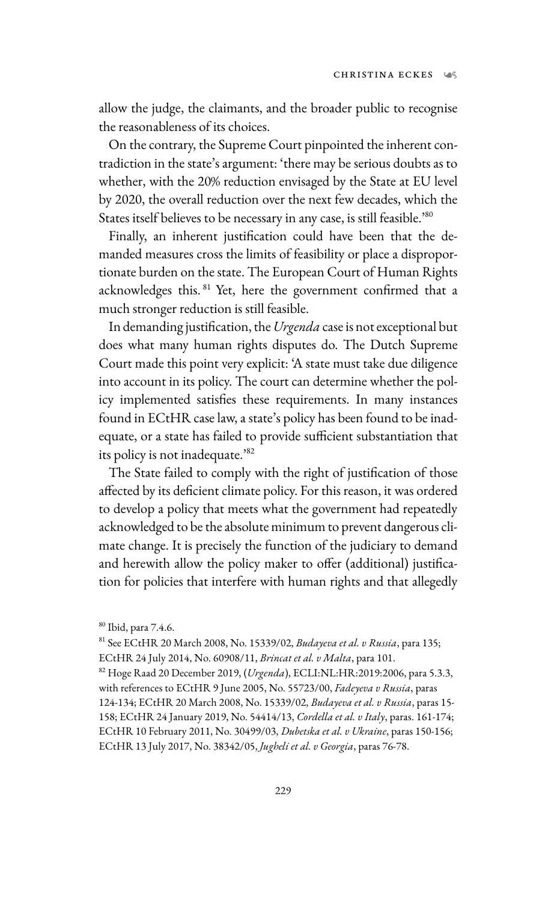allow the judge, the claimants, and the broader public to recognise the reasonableness of its choices.

On the contrary, the Supreme Court pinpointed the inherent contradiction in the state's argument: 'there may be serious doubts as to whether, with the 20% reduction envisaged by the State at EU level by 2020, the overall reduction over the next few decades, which the States itself believes to be necessary in any case, is still feasible.'80

Finally, an inherent justification could have been that the demanded measures cross the limits of feasibility or place a disproportionate burden on the state. The European Court of Human Rights acknowledges this. 81 Yet, here the government confirmed that a much stronger reduction is still feasible.

In demanding justification, the *Urgenda* case is not exceptional but does what many human rights disputes do. The Dutch Supreme Court made this point very explicit: 'A state must take due diligence into account in its policy. The court can determine whether the policy implemented satisfies these requirements. In many instances found in ECtHR case law, a state's policy has been found to be inadequate, or a state has failed to provide sufficient substantiation that its policy is not inadequate.'82

The State failed to comply with the right of justification of those affected by its deficient climate policy. For this reason, it was ordered to develop a policy that meets what the government had repeatedly acknowledged to be the absolute minimum to prevent dangerous climate change. It is precisely the function of the judiciary to demand and herewith allow the policy maker to offer (additional) justification for policies that interfere with human rights and that allegedly

<sup>80</sup> Ibid, para 7.4.6.

<sup>81</sup> See ECtHR 20 March 2008, No. 15339/02, *Budayeva et al. v Russia*, para 135;

ECtHR 24 July 2014, No. 60908/11, *Brincat et al. v Malta*, para 101. 82 Hoge Raad 20 December 2019, (*Urgenda*), ECLI:NL:HR:2019:2006, para 5.3.3, with references to ECtHR 9 June 2005, No. 55723/00, *Fadeyeva v Russia*, paras 124-134; ECtHR 20 March 2008, No. 15339/02, *Budayeva et al. v Russia*, paras 15- 158; ECtHR 24 January 2019, No. 54414/13, *Cordella et al. v Italy*, paras. 161-174; ECtHR 10 February 2011, No. 30499/03, *Dubetska et al. v Ukraine*, paras 150-156; ECtHR 13 July 2017, No. 38342/05, *Jugheli et al. v Georgia*, paras 76-78.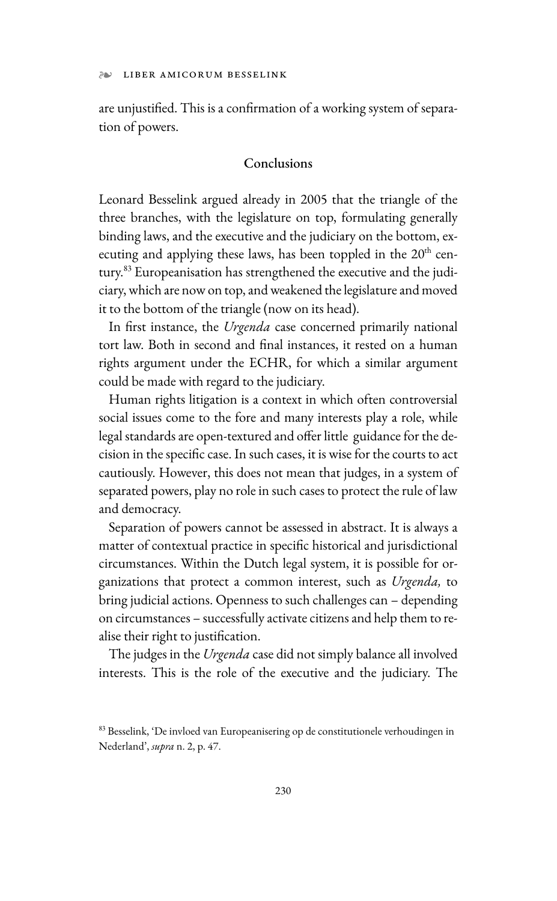are unjustified. This is a confirmation of a working system of separation of powers.

## Conclusions

Leonard Besselink argued already in 2005 that the triangle of the three branches, with the legislature on top, formulating generally binding laws, and the executive and the judiciary on the bottom, executing and applying these laws, has been toppled in the  $20<sup>th</sup>$  century.<sup>83</sup> Europeanisation has strengthened the executive and the judiciary, which are now on top, and weakened the legislature and moved it to the bottom of the triangle (now on its head).

In first instance, the *Urgenda* case concerned primarily national tort law. Both in second and final instances, it rested on a human rights argument under the ECHR, for which a similar argument could be made with regard to the judiciary.

Human rights litigation is a context in which often controversial social issues come to the fore and many interests play a role, while legal standards are open-textured and offer little guidance for the decision in the specific case. In such cases, it is wise for the courts to act cautiously. However, this does not mean that judges, in a system of separated powers, play no role in such cases to protect the rule of law and democracy.

Separation of powers cannot be assessed in abstract. It is always a matter of contextual practice in specific historical and jurisdictional circumstances. Within the Dutch legal system, it is possible for organizations that protect a common interest, such as *Urgenda,* to bring judicial actions. Openness to such challenges can – depending on circumstances – successfully activate citizens and help them to realise their right to justification.

The judges in the *Urgenda* case did not simply balance all involved interests. This is the role of the executive and the judiciary. The

<sup>83</sup> Besselink, 'De invloed van Europeanisering op de constitutionele verhoudingen in Nederland', *supra* n. 2, p. 47.